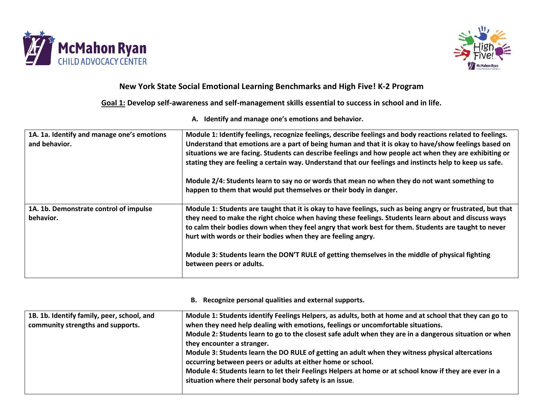



# **New York State Social Emotional Learning Benchmarks and High Five! K-2 Program**

**Goal 1: Develop self-awareness and self-management skills essential to success in school and in life.**

**A. Identify and manage one's emotions and behavior.**

| 1A. 1a. Identify and manage one's emotions<br>and behavior. | Module 1: Identify feelings, recognize feelings, describe feelings and body reactions related to feelings.<br>Understand that emotions are a part of being human and that it is okay to have/show feelings based on<br>situations we are facing. Students can describe feelings and how people act when they are exhibiting or<br>stating they are feeling a certain way. Understand that our feelings and instincts help to keep us safe.<br>Module 2/4: Students learn to say no or words that mean no when they do not want something to<br>happen to them that would put themselves or their body in danger. |
|-------------------------------------------------------------|------------------------------------------------------------------------------------------------------------------------------------------------------------------------------------------------------------------------------------------------------------------------------------------------------------------------------------------------------------------------------------------------------------------------------------------------------------------------------------------------------------------------------------------------------------------------------------------------------------------|
| 1A. 1b. Demonstrate control of impulse<br>behavior.         | Module 1: Students are taught that it is okay to have feelings, such as being angry or frustrated, but that<br>they need to make the right choice when having these feelings. Students learn about and discuss ways<br>to calm their bodies down when they feel angry that work best for them. Students are taught to never<br>hurt with words or their bodies when they are feeling angry.<br>Module 3: Students learn the DON'T RULE of getting themselves in the middle of physical fighting<br>between peers or adults.                                                                                      |

#### **B. Recognize personal qualities and external supports.**

| 1B. 1b. Identify family, peer, school, and | Module 1: Students identify Feelings Helpers, as adults, both at home and at school that they can go to |
|--------------------------------------------|---------------------------------------------------------------------------------------------------------|
| community strengths and supports.          | when they need help dealing with emotions, feelings or uncomfortable situations.                        |
|                                            | Module 2: Students learn to go to the closest safe adult when they are in a dangerous situation or when |
|                                            | they encounter a stranger.                                                                              |
|                                            | Module 3: Students learn the DO RULE of getting an adult when they witness physical altercations        |
|                                            | occurring between peers or adults at either home or school.                                             |
|                                            | Module 4: Students learn to let their Feelings Helpers at home or at school know if they are ever in a  |
|                                            | situation where their personal body safety is an issue.                                                 |
|                                            |                                                                                                         |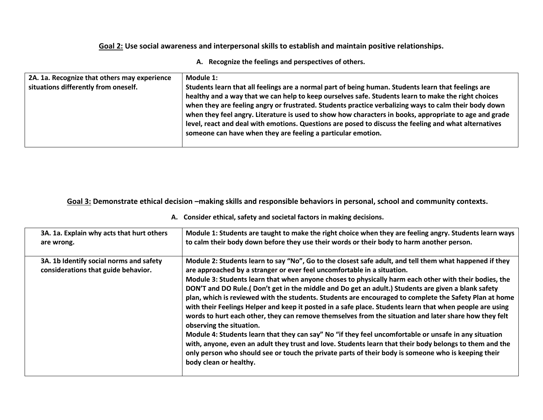## **Goal 2: Use social awareness and interpersonal skills to establish and maintain positive relationships.**

### **A. Recognize the feelings and perspectives of others.**

| 2A. 1a. Recognize that others may experience<br>situations differently from oneself. | Module 1:<br>Students learn that all feelings are a normal part of being human. Students learn that feelings are<br>healthy and a way that we can help to keep ourselves safe. Students learn to make the right choices<br>when they are feeling angry or frustrated. Students practice verbalizing ways to calm their body down<br>when they feel angry. Literature is used to show how characters in books, appropriate to age and grade<br>level, react and deal with emotions. Questions are posed to discuss the feeling and what alternatives<br>someone can have when they are feeling a particular emotion. |
|--------------------------------------------------------------------------------------|---------------------------------------------------------------------------------------------------------------------------------------------------------------------------------------------------------------------------------------------------------------------------------------------------------------------------------------------------------------------------------------------------------------------------------------------------------------------------------------------------------------------------------------------------------------------------------------------------------------------|
|--------------------------------------------------------------------------------------|---------------------------------------------------------------------------------------------------------------------------------------------------------------------------------------------------------------------------------------------------------------------------------------------------------------------------------------------------------------------------------------------------------------------------------------------------------------------------------------------------------------------------------------------------------------------------------------------------------------------|

**Goal 3: Demonstrate ethical decision –making skills and responsible behaviors in personal, school and community contexts.**

### **A. Consider ethical, safety and societal factors in making decisions.**

| 3A. 1a. Explain why acts that hurt others                                      | Module 1: Students are taught to make the right choice when they are feeling angry. Students learn ways                                                                                                                                                                                                                                                                                                                                                                                                                                                                                                                                                                                                                                                                                                                                                                                                                                                                                                                                                                                                            |
|--------------------------------------------------------------------------------|--------------------------------------------------------------------------------------------------------------------------------------------------------------------------------------------------------------------------------------------------------------------------------------------------------------------------------------------------------------------------------------------------------------------------------------------------------------------------------------------------------------------------------------------------------------------------------------------------------------------------------------------------------------------------------------------------------------------------------------------------------------------------------------------------------------------------------------------------------------------------------------------------------------------------------------------------------------------------------------------------------------------------------------------------------------------------------------------------------------------|
| are wrong.                                                                     | to calm their body down before they use their words or their body to harm another person.                                                                                                                                                                                                                                                                                                                                                                                                                                                                                                                                                                                                                                                                                                                                                                                                                                                                                                                                                                                                                          |
| 3A. 1b Identify social norms and safety<br>considerations that guide behavior. | Module 2: Students learn to say "No", Go to the closest safe adult, and tell them what happened if they<br>are approached by a stranger or ever feel uncomfortable in a situation.<br>Module 3: Students learn that when anyone choses to physically harm each other with their bodies, the<br>DON'T and DO Rule.( Don't get in the middle and Do get an adult.) Students are given a blank safety<br>plan, which is reviewed with the students. Students are encouraged to complete the Safety Plan at home<br>with their Feelings Helper and keep it posted in a safe place. Students learn that when people are using<br>words to hurt each other, they can remove themselves from the situation and later share how they felt<br>observing the situation.<br>Module 4: Students learn that they can say" No "if they feel uncomfortable or unsafe in any situation<br>with, anyone, even an adult they trust and love. Students learn that their body belongs to them and the<br>only person who should see or touch the private parts of their body is someone who is keeping their<br>body clean or healthy. |